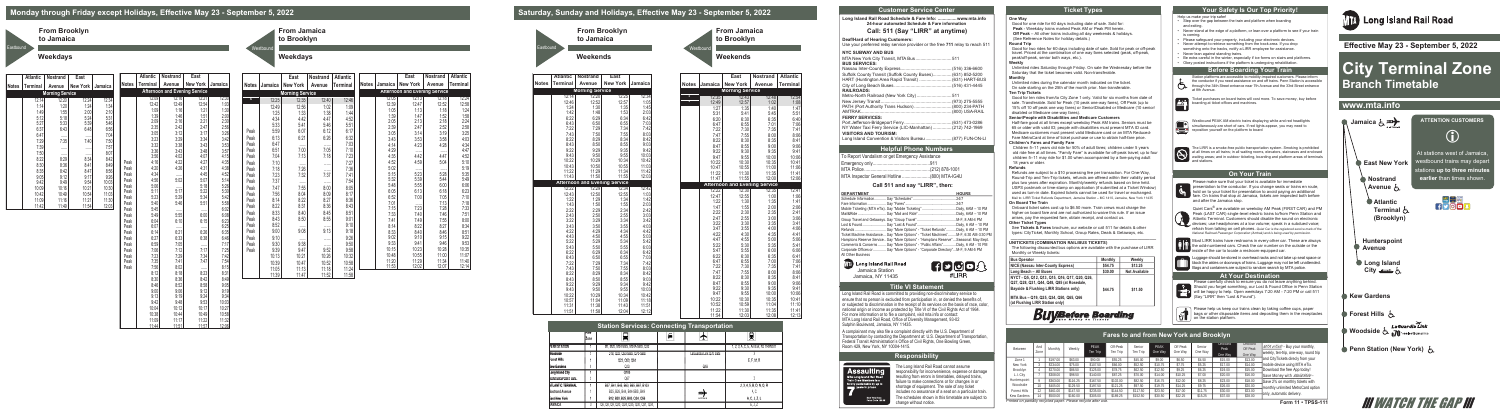#### **One Way**

- Good for one ride for 60 days including date of sale. Sold for: **Peak** - Weekday trains marked Peak AM or Peak PM herein.
- **Off Peak** All other trains including all day weekends & holidays.
- (See Reference Notes for holiday details.)

### **Round Trip**

Good for two rides for 60 days including date of sale. Sold for peak or off-peak travel. Priced at the combination of one way fares selected (peak, off-peak, peak/off-peak, senior both ways, etc.).

#### **Weekly**

Unlimited rides Saturday through Friday. On sale the Wednesday before the Saturday that the ticket becomes valid. Non-transferable. **Monthly**

Unlimited rides during the calendar month indicated on the ticket. On sale starting on the 25th of the month prior. Non-transferable. **Ten Trip Tickets**

Good for ten rides from/to City Zone 1 only. Valid for six months from date of sale. Transferable. Sold for Peak (10 peak one-way fares), Off Peak (up to 15% off 10 off peak one way fares) or Senior/Disabled or Medicare (10 senior/ disabled or Medicare one-way fares).

### **Senior/People with Disabilities and Medicare Customers**

Half-fare good at all times except weekday Peak AM trains. Seniors must be 65 or older with valid ID; people with disabilities must present MTA ID card. Medicare customers must present valid Medicare card or an MTA Reduced-Fare MetroCard at time of ticket purchase or use to obtain half-fare price.

#### **Children's Fares and Family Fare**

Children 5–11 years old ride for 50% of adult fares; children under 5 years old ride free at all times. "Family Fare" is available for off-peak travel; up to four children 5–11 may ride for \$1.00 when accompanied by a fare-paying adult 18 years or older.

#### **Refunds**

Refunds are subject to a \$10 processing fee per transaction. For One-Way, Round-Trip and Ten-Trip tickets, refunds are offered within their validity period plus two years after expiration. Monthly/weekly refunds based on time held. USPS postmark or time-stamp on application (if submitted at a Ticket Window) used as turn-in date. Expired tickets cannot be used for travel or exchanged. Mail to: LIRR Ticket Refunds Department, Jamaica Station – MC 1410, Jamaica, New York 11435 **On Board The Train**

Onboard ticket sales cost up to \$6.50 more. Train crews must charge the higher on board fare and are not authorized to waive this rule. If an issue arises, pay the requested fare, obtain receipt, and contact us. **Other Ticket Types** 

See **Tickets & Fares** brochure, our website or call 511 for details & other types: CityTicket, Monthly School, Group Rates, Deals & Getaways, etc.

#### **\_\_\_\_\_\_\_\_\_\_\_\_\_\_\_\_\_\_\_\_\_\_\_\_\_\_\_\_\_\_\_\_\_\_\_\_\_\_\_\_\_\_\_\_\_\_\_\_\_\_\_\_\_\_\_\_\_\_\_\_\_\_\_ UNITICKETS (COMBINATION RAIL/BUS TICKETS)**

The following discounted bus options are available with the purchase of LIRR Monthly or Weekly tickets:

| <b>Bus Operator</b>                                                                                                                                                                                                | Monthly | Weekly               |
|--------------------------------------------------------------------------------------------------------------------------------------------------------------------------------------------------------------------|---------|----------------------|
| NICE (Nassau Inter-County Express)                                                                                                                                                                                 | \$54.75 | \$13.25              |
| Long Beach - All Buses                                                                                                                                                                                             | \$30.00 | <b>Not Available</b> |
| NYCT - Q5, Q12, Q13, Q15, Q16, Q17, Q20, Q26,<br>Q27, Q28, Q31, Q44, Q48, Q85 (at Rosedale,<br>Bayside & Flushing LIRR Stations only)<br>MTA Bus - Q19, Q25, Q34, Q50, Q65, Q66<br>(at Flushing LIRR Station only) | \$44.75 | \$11.50              |
|                                                                                                                                                                                                                    |         |                      |

Please carefully check to ensure you do not leave anything behind. Should you forget something, our Lost & Found Office in Penn Station will be happy to help. Open weekdays 7:20 AM - 7:20 PM or call 511 (Say "LIRR" then "Lost & Found").

Fare Hike April 2019

| Between                                                     | And<br>Zone | Monthly  | Weekly   | PFAK<br>Ten Trip | Off-Peak<br>Ten Trip | Senior<br>Ten Trip | PFAK<br>One Way | Off Peak<br>One Way | Senior<br>One Way | Onboard<br>Peak<br>One Way | Onboard<br>Off Peak<br>One Way | $MTA$ eTix® - Buy your monthly,<br>weekly, ten-trip, one-way, round trip |
|-------------------------------------------------------------|-------------|----------|----------|------------------|----------------------|--------------------|-----------------|---------------------|-------------------|----------------------------|--------------------------------|--------------------------------------------------------------------------|
| Zone 1                                                      |             | \$197.00 | \$63.00  | \$90.00          | \$55.25              | \$45.00            | \$9.00          | \$6.50              | \$4.50            | \$15.00                    | \$13.00                        | and CityTickets direcly from your                                        |
| New York                                                    |             | \$234.00 | \$75.00  | \$107.50         | \$66.00              | \$52.50            | \$10.75         | \$7.75              | \$5.25            | \$17.00                    | \$14.00                        | mobile device using MTA eTix.                                            |
| Brooklyn                                                    |             | \$270.00 | \$86.50  | \$125.00         | \$78.75              | \$62.50            | \$12.50         | \$9.25              | \$6.25            | \$19.00                    | \$15.00                        | Download the free App today!                                             |
| L.I. City                                                   |             | \$308.00 | \$98.50  | \$140.00         | \$87.25              | \$70.00            | \$14.00         | \$10.25             | \$7.00            | \$20.00                    | \$16.00                        | Save Money with Mail&Ride -                                              |
| Hunterspoint                                                |             | \$363.00 | \$116.25 | \$167.50         | \$102.00             | \$82.50            | \$16.75         | \$12.00             | \$8.25            | \$23.00                    | \$18.00                        | Save 2% on monthly tickets with                                          |
| Woodside                                                    |             | \$405.00 | \$129.50 | \$197.50         | .25                  | \$97.50            | \$19.75         | \$14.25             | \$9.75            | \$26.00                    | \$20.00                        | monthly unlimited MetroCard option                                       |
| Forest Hills                                                |             | \$461.00 | \$147.50 | \$235.00         | \$144.50             | \$117.50           | \$23.50         | \$17.00             | \$11.75           | \$30.00                    | \$23.00                        |                                                                          |
| Kew Gardens                                                 |             |          | 3160.00  | \$305.00         | \$189.25             | 152.50             | \$30.50         | \$22.25             | \$15.25           | \$37.00                    | \$28.00                        | lonly, automatic delivery.                                               |
| inted on partially requeled naper. Please requele effectues |             |          |          |                  |                      |                    |                 |                     |                   |                            |                                |                                                                          |

Long Island Rail Road is committed to providing non-discriminatory service to ensure that no person is excluded from participation in, or denied the benefits of, or subjected to discrimination in the receipt of its services on the basis of race, color, national origin or income as protected by Title VI of the Civil Rights Act of 1964. For more information or to file a complaint, visit mta.info or contact: MTA Long Island Rail Road, Office of Diversity Management, 93-02 Sutphin Boulevard, Jamaica, NY 11435.

# **Monday through Friday except Holidays, Effective May 23 - September 5, 2022**

**From Brooklyn**

**to Jamaica**

## **Weekdays**

**Eastbound** 

**From Jamaica to Brooklyn** Westbound

# **Weekdays**

|              |         | East                   | Nostrand | <b>Atlantic</b> |              |              | East                                 | <b>Nostrand</b> | <b>Atlantic</b>      |
|--------------|---------|------------------------|----------|-----------------|--------------|--------------|--------------------------------------|-----------------|----------------------|
| Notes        | Jamaica | <b>New York</b>        | Avenue   | <b>Terminal</b> | <b>Notes</b> | Jamaica      | <b>New York</b>                      | Avenue          | <b>Terminal</b>      |
|              |         | <b>Morning Service</b> |          |                 |              |              | <b>Afternoon and Evening Service</b> |                 |                      |
| ۸            | 12:25   | 12:35                  | 12:40    | 12:46           |              | 12:05        | 12:13                                | 12:18           | 12:24                |
|              | 12:49   | 12:56                  | 1:02     | 1:09            |              | 12:39        | 12:47                                | 12:52           | 12:58                |
|              | 1:25    | 1:33                   | 1:38     | 1:44            |              | 1:05         | 1:13                                 | 1:18            | 1:24                 |
|              | 4:34    | 4:42                   | 4:47     | 4:52            |              | 1:39         | 1:47                                 | 1:52            | $1:58$<br>$2:24$     |
|              | 5:33    | 5:41                   | 5:46     | 5:51            |              | 2:05         | 2:13                                 | 2:18            |                      |
| Peak         | 5:59    | 6:07                   | 6:12     | 6:17            |              | 2:39         | 2:47                                 | 2:52            | 2:58                 |
|              | 6:13    | 6:21                   | 6:26     | 6:32            |              | 3:05         | 3:14                                 | 3:19            | 3:25                 |
| Peak<br>Peak |         |                        |          |                 |              | 3:43         | 3:53                                 | 3:58            | 4:03                 |
|              | 6:47    | <br>7:00               | <br>7:05 | 7:03            |              | 4:14         | 4:23                                 | 4:28            | 4:34                 |
| Peak         | 6:51    |                        |          | 7:10            |              | 4:29         | <br>4:42                             |                 | 4:47                 |
| Peak         | 7:04    | 7:13                   | 7:18     | 7:23            |              | 4:35<br>4:52 | 4:59                                 | 4:47<br>5:04    | 4:52<br>5:10         |
| Peak         | 7:10    |                        | .        | 7:27            |              | 5:02         |                                      |                 | 5:19                 |
| Peak         | 7:18    | 7:26                   |          | 7:36            |              | 5:15         | .<br>5:23                            | <br>5:28        | 5:35                 |
| Peak         | 7:23    | 7:32                   | 7:37     | 7:41            |              | 5:32         | 5:39                                 | 5:44            | 5:49                 |
| Peak         | 7:37    |                        | .        | 7:54            |              | 5:48         | 5:55                                 | 6:00            |                      |
| Peak         | 7:47    | 7:55                   | 8:00     | 8:05            |              | 6:05         | 6:13                                 | 6:18            | 6:06<br>6:23<br>7:10 |
| Peak         | 7:56    | 8:04                   | 8:09     | 8:17            |              | 6:52         | 7:00                                 | 7:05            |                      |
| Peak         | 8:14    | 8:22                   | 8:27     | 8:36            |              | 7:01         | .                                    | 7:13            | 7:18                 |
| Peak         | 8:22    | 8:31                   | 8:36     | 8:43            |              | 7:15         | 7:23                                 | 7:28            | 7:33                 |
| Peak         | 8:33    | 8:40                   | 8:45     | 8:51            |              | 7:33         | 7:40                                 | 7:46            | 7:51                 |
| Peak         | 8:43    | 8:50                   | 8:55     | 9:01            |              | 7:41         | 7:49                                 | 7:55            | 8:00                 |
| Peak         | 8:52    |                        |          | 9:10            |              | 8:14         | 8:22                                 | 8:27            | 8:34                 |
| Peak         | 9:00    | 9:08                   | 9:13     | 9:18            |              | 8:33         | 8:40                                 | 8:46            | 8:51                 |
| Peak         | 9:10    |                        | .        | 9:26            |              | 9:02         | 9:10                                 | 9:15            | 9:22                 |
| Peak         | 9:30    | 9:38                   |          | 9:50            |              | 9:33         | 9:41                                 | 9:46            | 9:53                 |
| Peak         | 9:39    | 9:47                   | 9:52     | 9:58            |              | 10:15        | 10:23                                | 10:28           | 10:35                |
|              | 10:13   | 10:21                  | 10:26    | 10:32           |              | 10:48        | 10:55                                | 11:00           | 11:07                |
|              | 10:39   | 10:47                  | 10:52    | 10:58           |              | 11:20        | 11:29                                | 11:34           | 11:40                |
|              | 11:05   | 11:13                  | 11:18    | 11:24           |              | 11:53        | 12:02                                | 12:07           | 12:14                |

**MTA** Long Island Rail Road Jamaica Station Jamaica, NY 11435

**HPODA** #LIRR

| East<br><b>Terminal</b><br><b>New York</b><br><b>Notes</b><br>Avenue<br>Jamaica<br><b>New York</b><br>Jamaica<br><b>Notes</b><br><b>New York</b><br><b>Notes</b><br><b>Terminal</b><br>Avenue<br>Jamaica<br><b>Afternoon and Evening Service</b><br><b>Morning Service</b><br><b>Morning Service</b><br>12:16<br>12:09<br>12:21<br>12:30<br>12:24<br>12:14<br>12:20<br>12:34<br>$\mathbf{v}$<br>12:25<br>12:35<br>12:42<br>12:49<br>12:54<br>1:03<br>1:14<br>1:20<br>1:24<br>1:34<br>12:49<br>12:56 | Avenue<br>12:40<br>1:02<br>1:38<br>4:47<br>5:46 | <b>Terminal</b><br>12:46<br>1:09<br>1:44<br>4:52 |
|-----------------------------------------------------------------------------------------------------------------------------------------------------------------------------------------------------------------------------------------------------------------------------------------------------------------------------------------------------------------------------------------------------------------------------------------------------------------------------------------------------|-------------------------------------------------|--------------------------------------------------|
|                                                                                                                                                                                                                                                                                                                                                                                                                                                                                                     |                                                 |                                                  |
|                                                                                                                                                                                                                                                                                                                                                                                                                                                                                                     |                                                 |                                                  |
|                                                                                                                                                                                                                                                                                                                                                                                                                                                                                                     |                                                 |                                                  |
| 1:30<br>1:09<br>1:16<br>1:21                                                                                                                                                                                                                                                                                                                                                                                                                                                                        |                                                 |                                                  |
| 1:55<br>2:00<br>2:10<br>1:49<br>1:25<br>1:33<br>1:39<br>1:46<br>1:51<br>2:00                                                                                                                                                                                                                                                                                                                                                                                                                        |                                                 |                                                  |
| 5:12<br>5:18<br>5:24<br>5:31<br>4:34<br>4:42<br>2:09<br>2:16<br>2:30<br>2:21<br>5:33<br>5:39<br>5:46                                                                                                                                                                                                                                                                                                                                                                                                |                                                 |                                                  |
| 5:27<br>5:33<br>5:41<br>2:35<br>2:56<br>2:42<br>2:47<br>6:56<br>6:37<br>6:43<br>6:48                                                                                                                                                                                                                                                                                                                                                                                                                |                                                 | 5:51                                             |
| 5:59<br>6:07<br>Peak<br>3:05<br>3:12<br>3:17<br>3:26<br>6:47<br>7:04                                                                                                                                                                                                                                                                                                                                                                                                                                | 6:12                                            | 6:17                                             |
| 6:13<br>6:21<br><br><br>Peak<br>3:23<br>3:29<br>3:42<br>3:34<br>7:40<br>7:35<br>7:50<br>7:29                                                                                                                                                                                                                                                                                                                                                                                                        | 6:26                                            | 6:32                                             |
| 6:47<br>Peak<br>3:32<br>3:38<br>3:53<br>3:43<br><br>7:39<br>7:57<br><br>                                                                                                                                                                                                                                                                                                                                                                                                                            |                                                 | 7:03                                             |
| 6:51<br>7:00<br>3:36<br>3:43<br>3:57<br>Peak<br>3:48<br>8:07<br>7:50<br><br>                                                                                                                                                                                                                                                                                                                                                                                                                        | 7:05                                            | 7:10                                             |
| 3:56<br>7:04<br>7:13<br>4:02<br>4:07<br>4:15<br>Peak<br>8:34<br>8:22<br>8:29<br>8:42<br>4:16<br>4:22<br>4:27<br>4:35<br>Peak                                                                                                                                                                                                                                                                                                                                                                        | 7:18                                            | 7:23<br>7:27                                     |
| Peak<br>7:10<br>8:49<br>8:30<br>8:36<br>8:41<br><br>4:26<br>4:38<br>4:20<br>4:31<br>Peak<br>7:26<br>7:18<br>Peak                                                                                                                                                                                                                                                                                                                                                                                    |                                                 | 7:36                                             |
| 8:42<br>8:47<br>8:56<br>8:35<br>4:34<br>4:52<br>4:45<br>Peak<br>7:23<br>7:32<br>Peak<br>                                                                                                                                                                                                                                                                                                                                                                                                            | <br>7:37                                        | 7:41                                             |
| 9:12<br>9:05<br>9:17<br>9:26<br>5:02<br>5:14<br>4:56<br>5:07<br>Peak<br>7:37<br>Peak                                                                                                                                                                                                                                                                                                                                                                                                                |                                                 | 7:54                                             |
| 9:42<br>9:49<br>10:03<br>9:54<br><br>5:06<br>5:18<br>5:26<br>Peak<br>7:55<br>Peak<br>7:47<br><br>10:30<br>10:09<br>10:16<br>10:21                                                                                                                                                                                                                                                                                                                                                                   | <br>8:00                                        | 8:05                                             |
| 5:17<br>5:30<br>5:11<br>5:22<br>Peak<br>7:56<br>8:04<br>Peak<br>10:49<br>11:03<br>10:42<br>10:54                                                                                                                                                                                                                                                                                                                                                                                                    | 8:09                                            | 8:17                                             |
| 5:23<br>5:29<br>5:34<br>5:42<br>Peak<br>8:22<br>11:21<br>11:30<br>8:14<br>11:09<br>11:16<br>Peak                                                                                                                                                                                                                                                                                                                                                                                                    | 8:27                                            | 8:36                                             |
| 5:40<br>5:46<br>5:51<br>5:58<br>Peak<br>11:42<br>11:49<br>11:54<br>12:03<br>8:22<br>8:31<br>Peak                                                                                                                                                                                                                                                                                                                                                                                                    | 8:36                                            | 8:43                                             |
| 5:45<br>6:02<br>Peak<br><br><br>8:33<br>8:40<br>Peak<br>5:49<br>5:55<br>6:00<br>6:08<br>Peak                                                                                                                                                                                                                                                                                                                                                                                                        | 8:45                                            | 8:51                                             |
| 8:43<br>8:50<br>Peak<br>6:23<br>6:04<br>6:10<br>6:15<br>Peak                                                                                                                                                                                                                                                                                                                                                                                                                                        | 8:55                                            | 9:01                                             |
| 8:52<br>Peak<br>6:07<br>6:25<br>Peak<br><br><br>$\cdots$                                                                                                                                                                                                                                                                                                                                                                                                                                            |                                                 | 9:10                                             |
| 9:08<br>9:00<br>Peak<br>6:21<br>6:35<br>Peak<br>6:14<br>6:26                                                                                                                                                                                                                                                                                                                                                                                                                                        | 9:13                                            | 9:18                                             |
| 9:10<br>Peak<br>6:27<br>6:33<br>6:38<br>6:46<br>Peak<br>                                                                                                                                                                                                                                                                                                                                                                                                                                            |                                                 | 9:26                                             |
| 9:38<br>9:30<br>6:59<br>7:05<br>7:17<br>Peak<br>Peak<br>                                                                                                                                                                                                                                                                                                                                                                                                                                            |                                                 | 9:50                                             |
| 7:06<br>7:12<br>7:17<br>7:25<br>Peak<br>9:39<br>9:47<br>Peak                                                                                                                                                                                                                                                                                                                                                                                                                                        | 9:52                                            | 9:58                                             |
| 7:42<br>7:23<br>7:29<br>7:34<br>Peak<br>10:13<br>10:21                                                                                                                                                                                                                                                                                                                                                                                                                                              | 10:26                                           | 10:32                                            |
| 7:35<br>7:41<br>7:54<br>Peak<br>7:47<br>10:39<br>10:47<br>7:56<br>8:02<br>8:15                                                                                                                                                                                                                                                                                                                                                                                                                      | 10:52                                           | 10:58                                            |
| Peak<br>11:05<br>11:13<br><br>8:12<br>8:18<br>8:23<br>8:31                                                                                                                                                                                                                                                                                                                                                                                                                                          | 11:18                                           | 11:24                                            |
| 11:39<br>11:47<br>8:42<br>8:30<br>8:36<br>8:49                                                                                                                                                                                                                                                                                                                                                                                                                                                      | 11:52                                           | 11:58                                            |
| 8:46<br>8:52<br>8:58<br>9:05                                                                                                                                                                                                                                                                                                                                                                                                                                                                        |                                                 |                                                  |
| 9:00<br>9:12<br>9:19<br>9:06                                                                                                                                                                                                                                                                                                                                                                                                                                                                        |                                                 |                                                  |
| 9:13<br>9:19<br>9:34<br>9:24                                                                                                                                                                                                                                                                                                                                                                                                                                                                        |                                                 |                                                  |
| 9:42<br>9:48<br>9:53<br>10:03                                                                                                                                                                                                                                                                                                                                                                                                                                                                       |                                                 |                                                  |
| 10:04<br>10:12<br>10:17<br>10:27                                                                                                                                                                                                                                                                                                                                                                                                                                                                    |                                                 |                                                  |
| 10:38<br>10:44<br>10:58<br>10:49                                                                                                                                                                                                                                                                                                                                                                                                                                                                    |                                                 |                                                  |
| 11:32<br>11:09<br>11:17<br>11:22<br>11:57<br>11:44<br>11:51<br>12:06                                                                                                                                                                                                                                                                                                                                                                                                                                |                                                 |                                                  |

# **Saturday, Sunday and Holidays, Effective May 23 - September 5, 2022**

**Forest Hills**

**Kew Gardens** 



| <b>Atlantic</b> | <b>Nostrand</b>        | East                                 |              |
|-----------------|------------------------|--------------------------------------|--------------|
| <b>Ferminal</b> | Avenue                 | <b>New York</b>                      | Jamaica      |
|                 | <b>Morning Service</b> |                                      |              |
| 12:14           | 12:20                  | 12:25                                | 12:34        |
| 12:46           | 12:52                  | 12:57                                | 1:05         |
| 1:24            | 1:30                   | 1:35                                 | 1:45         |
| 1:42            | 1:48                   | 1:53                                 | 2:03         |
| 6:22            | 6:29                   | 6:34                                 | 6:42         |
| 6:43            | 6:50                   | 6:55                                 | 7:03         |
| 7:22            | 7:29                   | 7:34                                 | 7:42         |
| 7:43            | 7:50                   | 7:55                                 | 8:03         |
| 8:22            | 8:29                   | 8:34                                 | 8:42         |
| 8:43<br>9:22    | 8:50<br>9:29           | 8:55<br>9:35                         | 9:03<br>9:42 |
| 9:43            | 9:50                   | 9:55                                 | 10:03        |
| 10:22           | 10:29                  | 10:34                                | 10:42        |
| 10:43           | 10:50                  | 10:55                                | 11:03        |
| 11:22           | 11:29                  | 11:34                                | 11:42        |
| 11:43           | 11:50                  | 11:55                                | 12:03        |
|                 |                        | <b>Afternoon and Evening Service</b> |              |
| 12:22           | 12:29                  | 12:34                                | 12:42        |
| 12:43           | 12:50                  | 12:55                                | 1:03         |
| 1:22            | 1:29                   | 1:34                                 | 1:42         |
| 1:43            | 1:50                   | 1:55                                 | 2:03         |
| 2:22            | 2:29                   | 2:34                                 | 2:42         |
| 2:43            | 2:50                   | 2:55                                 | 3:03         |
| 3:22            | 3:29                   | 3:34                                 | 3:42         |
| 3:43            | 3:50                   | 3:55                                 | 4:03         |
| 4:22            | 4:29                   | 4:34                                 | 4:42         |
| 4:43            | 4:50                   | 4:55                                 | 5:03         |
| 5:22            | 5:29                   | 5:34                                 | 5:42         |
| 5:43            | 5:50                   | 5:55                                 | 6:03         |
| 6:22            | 6:29                   | 6:34                                 | 6:42         |
| 6:43            | 6:50                   | 6:55                                 | 7:03         |
| 7:22            | 7:29                   | 7:34                                 | 7:42         |
| 7:43<br>8:22    | 7:50<br>8:29           | 7:55<br>8:34                         | 8:03<br>8:42 |
|                 |                        |                                      |              |
| 8:43<br>9:22    | 8:50<br>9:29           | 8:55<br>9:34                         | 9:03<br>9:42 |
| 9:43            | 9:50                   | 9:55                                 | 10:03        |
| 10:22           | 10:29                  | 10:34                                | 10:42        |
| 10:57           | 11:04                  | 11:09                                | 11:18        |
| 11:31           | 11:38                  | 11:43                                | 11:51        |
| 11:51           | 11:58                  | 12:04                                | 12:12        |

# **From Brooklyn to Jamaica**

## **Weekends**

**From Jamaica to Brooklyn**

**Weekends**

Westbound

| 11:31<br>11:51           | 11:43  <br>11:51<br>10.JZ<br><b>IN'OA</b><br>11.U4<br>1:38<br>11:30<br>1:22<br>11:35<br>12:04<br>12.12<br>1.58 |                                                    |  |                        |                                      | l I. IVI<br>11:41<br>12:13 |                                                      | OF SUDJECTED TO DISCHIFFICIOLE ITE LEGELYL OF ITS SERVICES OFF THE DASIS OF FACE, COIDE,<br>national origin or income as protected by Title VI of the Civil Rights Act of 1964.<br>For more information or to file a complaint, visit mta info or contact:<br>MTA Long Island Rail Road, Office of Diversity Management, 93-02 |                                                                |          | <b>BUV Before Boarding</b> |          |                                         |           |        | Please help us keep our trains clean by taking coffee cups, paper<br>bags or other disposable items and depositing them in the receptacles<br>$\mathbf{U}$ $\parallel$ on the station platform. | <b>Forest Hil</b> |         |         |                                                                            |              |  |
|--------------------------|----------------------------------------------------------------------------------------------------------------|----------------------------------------------------|--|------------------------|--------------------------------------|----------------------------|------------------------------------------------------|--------------------------------------------------------------------------------------------------------------------------------------------------------------------------------------------------------------------------------------------------------------------------------------------------------------------------------|----------------------------------------------------------------|----------|----------------------------|----------|-----------------------------------------|-----------|--------|-------------------------------------------------------------------------------------------------------------------------------------------------------------------------------------------------|-------------------|---------|---------|----------------------------------------------------------------------------|--------------|--|
|                          |                                                                                                                | <b>Station Services: Connecting Transportation</b> |  |                        |                                      |                            | Sutphin Boulevard, Jamaica, NY 11435.                |                                                                                                                                                                                                                                                                                                                                |                                                                |          |                            |          |                                         |           |        |                                                                                                                                                                                                 |                   |         |         |                                                                            |              |  |
|                          |                                                                                                                |                                                    |  |                        |                                      |                            |                                                      | A complainant may also file a complaint directly with the U.S. Department of<br>Transportation by contacting the Department at: U.S. Department of Transportation,<br>Federal Transit Administration's Office of Civil Rights, One Bowling Green,                                                                              |                                                                |          |                            |          | Fares to and from New York and Brooklyn |           |        |                                                                                                                                                                                                 |                   |         |         |                                                                            | Woodside     |  |
| PENN STATION             |                                                                                                                | M7. M20. M34-SBS. M34A-SBS. Q32                    |  |                        | 1, 2, 3, A, C, E, Amtrak, NJ TRANSIT |                            | Room 429, New York, NY 10004-1415.                   |                                                                                                                                                                                                                                                                                                                                | Between                                                        |          | Monthly<br>Weekly          |          | Off-Peak                                | Senior II | PFAK   | Off Peak<br>One Way                                                                                                                                                                             | Senior            |         |         | MTA eTix® - Buy your monthly,                                              | Penn Stat    |  |
| Woodside                 |                                                                                                                | Q18, Q32, Q53-SBS, Q70-SBS                         |  | LaGuardia Link Q70 SBS |                                      |                            |                                                      | <b>Responsibility</b>                                                                                                                                                                                                                                                                                                          |                                                                |          |                            |          |                                         |           |        |                                                                                                                                                                                                 |                   |         |         | weekly, ten-trip, one-way, round trip<br>and CityTickets direcly from your |              |  |
| Forest Hills             |                                                                                                                | Q23, Q60, Q64                                      |  |                        | E. F. M. R                           |                            |                                                      |                                                                                                                                                                                                                                                                                                                                | Zone 1                                                         |          |                            | \$90.00  | \$55.25                                 |           |        |                                                                                                                                                                                                 |                   |         |         |                                                                            |              |  |
| Kew Gardens              |                                                                                                                |                                                    |  | Q10                    |                                      |                            |                                                      | The Long Island Rail Road cannot assume                                                                                                                                                                                                                                                                                        | New York                                                       |          |                            | \$107.50 | \$66.00                                 |           |        |                                                                                                                                                                                                 |                   |         |         | mobile device using MTA eTix.                                              |              |  |
| Long Island City         |                                                                                                                |                                                    |  |                        |                                      |                            | <b>Assaulting</b>                                    | responsibility for inconvenience, expense or damage                                                                                                                                                                                                                                                                            | Brooklyn                                                       |          | \$86.50                    | \$125.00 | \$78.75                                 |           |        |                                                                                                                                                                                                 |                   | \$19.00 |         | Download the free App today!                                               |              |  |
| HUNTERSPOINT AVE.        |                                                                                                                |                                                    |  |                        |                                      |                            | MTA Long Island Rail Road<br>Train Crew Members is a | resulting from errors in timetables, delayed trains,                                                                                                                                                                                                                                                                           | L.I. Citv                                                      |          |                            |          |                                         |           |        |                                                                                                                                                                                                 |                   |         | \$16.00 | Save Money with Mail&Ride -                                                |              |  |
| <b>ATLANTIC TERMINAL</b> |                                                                                                                | B37, B41, B45, B63, B65, B67, B103                 |  |                        | 2, 3, 4, 5, B, D, N, Q, R            |                            | punishable by up to                                  | failure to make connections or for changes in or                                                                                                                                                                                                                                                                               | Hunterspoint                                                   |          | ዩ116 25                    |          | \$102.00                                |           |        |                                                                                                                                                                                                 |                   |         |         | Save 2% on monthly tickets with                                            |              |  |
|                          |                                                                                                                |                                                    |  |                        |                                      |                            | vears in prison.                                     | shortage of equipment. The sale of any ticket                                                                                                                                                                                                                                                                                  | Woodside                                                       |          |                            |          |                                         |           |        |                                                                                                                                                                                                 |                   |         |         | monthly unlimited MetroCard option                                         |              |  |
| Nostrand Avenue          |                                                                                                                | B25, B26, B44, B44-SBS, B49                        |  | ≕.                     | A, C                                 |                            |                                                      | includes no assurance of a seat on a particular train.                                                                                                                                                                                                                                                                         | Forest Hills<br>Kew Gardens                                    | \$461.00 |                            | \$235.00 | \$144.50                                | 01 EN EN  |        | നോ വാ                                                                                                                                                                                           |                   |         | \$23.00 | only, automatic delivery.                                                  |              |  |
| East New York            |                                                                                                                | B12, B20, B25, B83, Q24, Q56                       |  | <b>AIRTRAIN</b>        | A, C, J, Z, L                        |                            | New York State<br>Penal Code 120.05                  | The schedules shown in this timetable are subject to                                                                                                                                                                                                                                                                           |                                                                |          |                            | 4305.00  | <b>\$180 ገ</b> ፍ                        |           | 420 EO |                                                                                                                                                                                                 |                   |         | M 8C2   |                                                                            |              |  |
| JAMAICA                  |                                                                                                                | Q6, Q8, Q9, Q20, Q24, Q25, Q30, Q31, Q34,          |  |                        | E. J. Z                              |                            |                                                      | change without notice.                                                                                                                                                                                                                                                                                                         | Printed on partially recycled paper. Please recycle after use. |          |                            |          |                                         |           |        |                                                                                                                                                                                                 |                   |         |         | Form 11 . TPSS-111                                                         | <b>III I</b> |  |

| PENN STATION           |
|------------------------|
| Woodside               |
| Forest Hills           |
| Kew Gardens            |
| Long Island City       |
| HUNTERSPOINT A         |
| <b>ATLANTIC TERM</b>   |
| <b>Nostrand Avenue</b> |
| East New York          |
| AMAICA                 |
|                        |

**Penn Station (New York)** 

**III WATCH THE GAP III** 

LaGuardia Lin



**Long Island Rail Road Schedule & Fare Info: ...............www.mta.info 24-hour automated Schedule & Fare information**

## **Call: 511 (Say "LIRR" at anytime)**

## **Deaf/Hard of Hearing Customers:**

Use your preferred relay service provider or the free **711** relay to reach 511

## **NYC SUBWAY AND BUS**

| <b>BUS SERVICES:</b>                                         |  |
|--------------------------------------------------------------|--|
|                                                              |  |
| Suffolk County Transit (Suffolk County Buses) (631) 852-5200 |  |
| HART (Huntington Area Rapid Transit)  (631) HART-BUS         |  |
|                                                              |  |
| <b>RAILROADS:</b>                                            |  |
| Metro-North Railroad (New York City)511                      |  |
|                                                              |  |
| PATH (Port Authority Trans Hudson) (800) 234-PATH            |  |
|                                                              |  |
| <b>FERRY SERVICES:</b>                                       |  |
|                                                              |  |
| NY Water Taxi Ferry Service (LIC-Manhattan)  (212) 742-1969  |  |
| <b>VISITORS AND TOURISM:</b>                                 |  |
|                                                              |  |

Long Island Convention & Visitors Bureau .....................(877) FUN-ON-LI

## **Health Phone Numbers**

| To Report Vandalism or get Emergency Assistance |  |
|-------------------------------------------------|--|
|                                                 |  |
|                                                 |  |
| MTA Inspector General Hotline (800) MTA-IG4U    |  |

## **Call 511 and say "LIRR", then:**

| <b>DEPARTMENT</b>                                                                       | <b>HOURS</b> |
|-----------------------------------------------------------------------------------------|--------------|
|                                                                                         |              |
|                                                                                         |              |
|                                                                                         |              |
|                                                                                         |              |
|                                                                                         |              |
|                                                                                         |              |
| Refunds  Say "More Options" - "Ticket Refunds"  Daily, 6 AM - 10 PM                     |              |
| Ticket Machine Assistance  Say "More Options" - "Ticket Machines"  M-F, 6:30 AM-3:30 PM |              |
| Hamptons Reserve Service Say "More Options" - "Hamptons Reserve"  Seasonal: May-Sept.   |              |
| Comments & Concerns  Say "More Options" - "Public Affairs"Daily, 6 AM - 10 PM           |              |
| Corporate Offices or  Say "More Options" - "Corporate Directory" M-F, 9 AM-5 PM         |              |
| All Other Business                                                                      |              |

## **Customer Service Center**

**Title VI Statement**

## **Responsibility**



## **At Your Destination**

# **Fares to and from New York and Brooklyn**